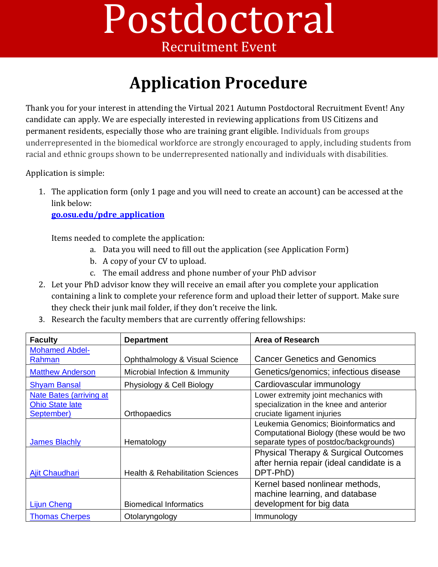## Postdoctoral Recruitment Event

## **Application Procedure**

Thank you for your interest in attending the Virtual 2021 Autumn Postdoctoral Recruitment Event! Any candidate can apply. We are especially interested in reviewing applications from US Citizens and permanent residents, especially those who are training grant eligible. Individuals from groups underrepresented in the biomedical workforce are strongly encouraged to apply, including students from racial and ethnic groups shown to be underrepresented nationally and individuals with disabilities.

Application is simple:

1. The application form (only 1 page and you will need to create an account) can be accessed at the link below:

**[go.osu.edu/pdre\\_application](http://go.osu.edu/pdre_application)**

Items needed to complete the application:

- a. Data you will need to fill out the application (see Application Form)
- b. A copy of your CV to upload.
- c. The email address and phone number of your PhD advisor
- 2. Let your PhD advisor know they will receive an email after you complete your application containing a link to complete your reference form and upload their letter of support. Make sure they check their junk mail folder, if they don't receive the link.
- 3. Research the faculty members that are currently offering fellowships:

| <b>Faculty</b>          | <b>Department</b>                           | <b>Area of Research</b>                                                             |
|-------------------------|---------------------------------------------|-------------------------------------------------------------------------------------|
| <b>Mohamed Abdel-</b>   |                                             |                                                                                     |
| Rahman                  | Ophthalmology & Visual Science              | <b>Cancer Genetics and Genomics</b>                                                 |
| <b>Matthew Anderson</b> | Microbial Infection & Immunity              | Genetics/genomics; infectious disease                                               |
| <b>Shyam Bansal</b>     | Physiology & Cell Biology                   | Cardiovascular immunology                                                           |
| Nate Bates (arriving at |                                             | Lower extremity joint mechanics with                                                |
| <b>Ohio State late</b>  |                                             | specialization in the knee and anterior                                             |
| September)              | Orthopaedics                                | cruciate ligament injuries                                                          |
|                         |                                             | Leukemia Genomics; Bioinformatics and                                               |
| <b>James Blachly</b>    | Hematology                                  | Computational Biology (these would be two<br>separate types of postdoc/backgrounds) |
|                         |                                             | <b>Physical Therapy &amp; Surgical Outcomes</b>                                     |
|                         |                                             | after hernia repair (ideal candidate is a                                           |
| <b>Ajit Chaudhari</b>   | <b>Health &amp; Rehabilitation Sciences</b> | DPT-PhD)                                                                            |
|                         |                                             | Kernel based nonlinear methods,                                                     |
|                         |                                             | machine learning, and database                                                      |
| <b>Lijun Cheng</b>      | <b>Biomedical Informatics</b>               | development for big data                                                            |
| <b>Thomas Cherpes</b>   | Otolaryngology                              | Immunology                                                                          |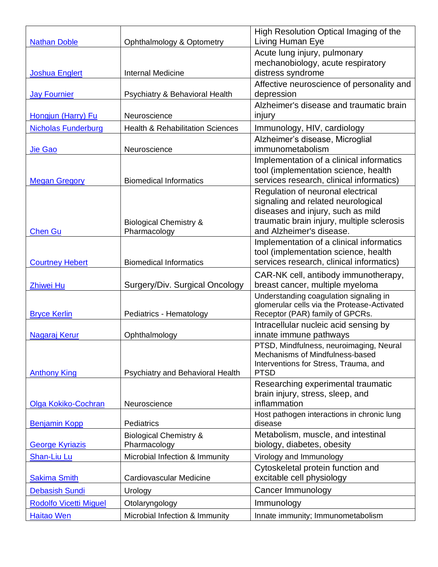|                               |                                             | High Resolution Optical Imaging of the                                        |
|-------------------------------|---------------------------------------------|-------------------------------------------------------------------------------|
| <b>Nathan Doble</b>           | Ophthalmology & Optometry                   | Living Human Eye                                                              |
|                               |                                             | Acute lung injury, pulmonary                                                  |
|                               |                                             | mechanobiology, acute respiratory                                             |
| <b>Joshua Englert</b>         | <b>Internal Medicine</b>                    | distress syndrome                                                             |
| <b>Jay Fournier</b>           | Psychiatry & Behavioral Health              | Affective neuroscience of personality and<br>depression                       |
|                               |                                             | Alzheimer's disease and traumatic brain                                       |
| Hongjun (Harry) Fu            | Neuroscience                                | injury                                                                        |
| <b>Nicholas Funderburg</b>    | <b>Health &amp; Rehabilitation Sciences</b> | Immunology, HIV, cardiology                                                   |
|                               |                                             | Alzheimer's disease, Microglial                                               |
| Jie Gao                       | Neuroscience                                | immunometabolism                                                              |
|                               |                                             | Implementation of a clinical informatics                                      |
|                               | <b>Biomedical Informatics</b>               | tool (implementation science, health                                          |
| <b>Megan Gregory</b>          |                                             | services research, clinical informatics)<br>Regulation of neuronal electrical |
|                               |                                             | signaling and related neurological                                            |
|                               |                                             | diseases and injury, such as mild                                             |
|                               | <b>Biological Chemistry &amp;</b>           | traumatic brain injury, multiple sclerosis                                    |
| <b>Chen Gu</b>                | Pharmacology                                | and Alzheimer's disease.                                                      |
|                               |                                             | Implementation of a clinical informatics                                      |
|                               |                                             | tool (implementation science, health                                          |
| <b>Courtney Hebert</b>        | <b>Biomedical Informatics</b>               | services research, clinical informatics)                                      |
| <b>Zhiwei Hu</b>              | Surgery/Div. Surgical Oncology              | CAR-NK cell, antibody immunotherapy,<br>breast cancer, multiple myeloma       |
|                               |                                             | Understanding coagulation signaling in                                        |
|                               |                                             | glomerular cells via the Protease-Activated                                   |
| <b>Bryce Kerlin</b>           | Pediatrics - Hematology                     | Receptor (PAR) family of GPCRs.                                               |
|                               |                                             | Intracellular nucleic acid sensing by                                         |
| <b>Nagaraj Kerur</b>          | Ophthalmology                               | innate immune pathways                                                        |
|                               |                                             | PTSD, Mindfulness, neuroimaging, Neural<br>Mechanisms of Mindfulness-based    |
|                               |                                             | Interventions for Stress, Trauma, and                                         |
| <b>Anthony King</b>           | Psychiatry and Behavioral Health            | <b>PTSD</b>                                                                   |
|                               |                                             | Researching experimental traumatic                                            |
| Olga Kokiko-Cochran           | Neuroscience                                | brain injury, stress, sleep, and<br>inflammation                              |
|                               |                                             | Host pathogen interactions in chronic lung                                    |
| <b>Benjamin Kopp</b>          | Pediatrics                                  | disease                                                                       |
|                               | <b>Biological Chemistry &amp;</b>           | Metabolism, muscle, and intestinal                                            |
| <b>George Kyriazis</b>        | Pharmacology                                | biology, diabetes, obesity                                                    |
| <b>Shan-Liu Lu</b>            | Microbial Infection & Immunity              | Virology and Immunology                                                       |
|                               |                                             | Cytoskeletal protein function and                                             |
| <b>Sakima Smith</b>           | Cardiovascular Medicine                     | excitable cell physiology                                                     |
| <b>Debasish Sundi</b>         | Urology                                     | Cancer Immunology                                                             |
| <b>Rodolfo Vicetti Miguel</b> | Otolaryngology                              | Immunology                                                                    |
| <b>Haitao Wen</b>             | Microbial Infection & Immunity              | Innate immunity; Immunometabolism                                             |